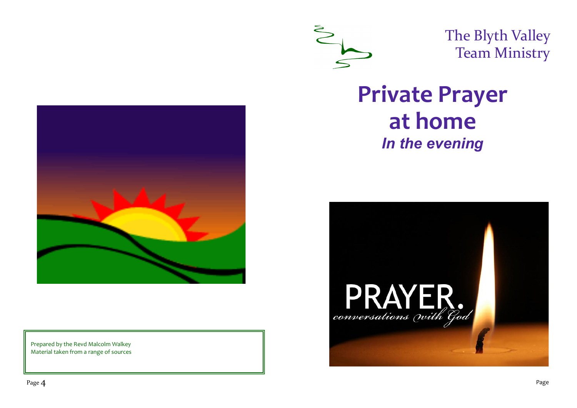

The Blyth Valley Team Ministry

# **Private Prayer at home** *In the evening*





Prepared by the Revd Malcolm Walkey Material taken from a range of sources